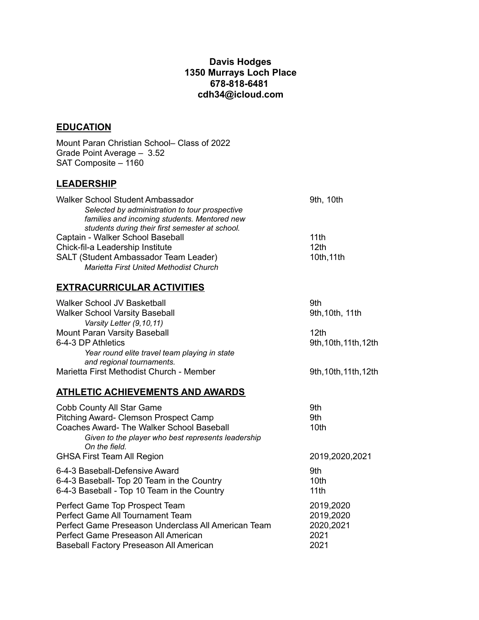## **Davis Hodges 1350 Murrays Loch Place 678-818-6481 cdh34@icloud.com**

## **EDUCATION**

Mount Paran Christian School– Class of 2022 Grade Point Average – 3.52 SAT Composite – 1160

Baseball Factory Preseason All American

## **LEADERSHIP**

| Walker School Student Ambassador                    | 9th, 10th             |
|-----------------------------------------------------|-----------------------|
| Selected by administration to tour prospective      |                       |
| families and incoming students. Mentored new        |                       |
| students during their first semester at school.     |                       |
| Captain - Walker School Baseball                    | 11th                  |
| Chick-fil-a Leadership Institute                    | 12th                  |
| SALT (Student Ambassador Team Leader)               | 10th, 11th            |
| <b>Marietta First United Methodist Church</b>       |                       |
| <b>EXTRACURRICULAR ACTIVITIES</b>                   |                       |
| Walker School JV Basketball                         | 9th                   |
| <b>Walker School Varsity Baseball</b>               | 9th, 10th, 11th       |
| Varsity Letter (9,10,11)                            |                       |
| Mount Paran Varsity Baseball                        | 12 <sub>th</sub>      |
| 6-4-3 DP Athletics                                  | 9th, 10th, 11th, 12th |
| Year round elite travel team playing in state       |                       |
| and regional tournaments.                           |                       |
| Marietta First Methodist Church - Member            | 9th, 10th, 11th, 12th |
| <b>ATHLETIC ACHIEVEMENTS AND AWARDS</b>             |                       |
| <b>Cobb County All Star Game</b>                    | 9th                   |
| Pitching Award- Clemson Prospect Camp               | 9th                   |
| <b>Coaches Award- The Walker School Baseball</b>    | 10th                  |
| Given to the player who best represents leadership  |                       |
| On the field.                                       |                       |
| <b>GHSA First Team All Region</b>                   | 2019,2020,2021        |
| 6-4-3 Baseball-Defensive Award                      | 9th                   |
| 6-4-3 Baseball- Top 20 Team in the Country          | 10 <sub>th</sub>      |
| 6-4-3 Baseball - Top 10 Team in the Country         | 11th                  |
| Perfect Game Top Prospect Team                      | 2019,2020             |
| Perfect Game All Tournament Team                    | 2019,2020             |
| Perfect Game Preseason Underclass All American Team | 2020,2021             |
| Perfect Game Preseason All American                 | 2021                  |
| Baseball Factory Preseason All American             | 2021                  |
|                                                     |                       |